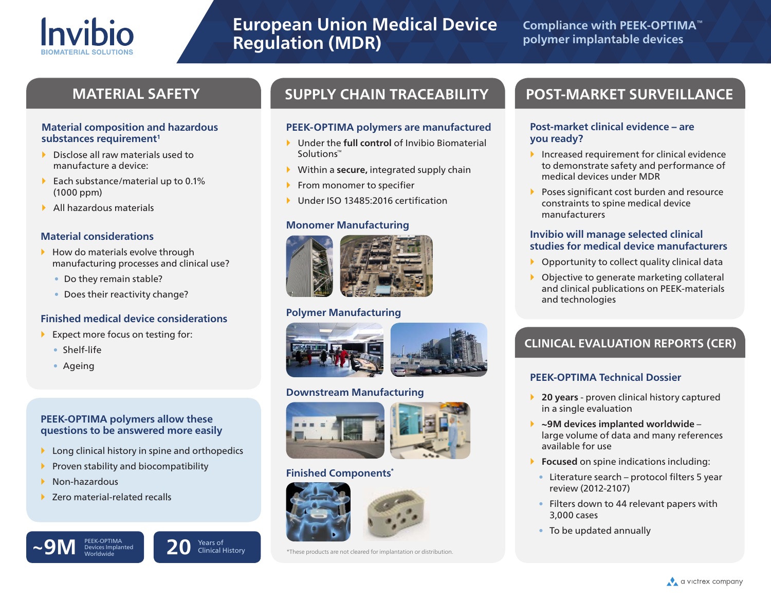

# **European Union Medical Device Regulation (MDR)**

Solutions™

**PEEK-OPTIMA polymers are manufactured ▶ Under the full control of Invibio Biomaterial** 

Within a **secure,** integrated supply chain

Under ISO 13485:2016 certification

 $\blacktriangleright$  From monomer to specifier

**Monomer Manufacturing**

**Polymer Manufacturing**

**Downstream Manufacturing**

**Finished Components\***

## **Compliance with PEEK-OPTIMA™ polymer implantable devices**

#### **Material composition and hazardous**  substances requirement<sup>1</sup>

- Disclose all raw materials used to manufacture a device:
- Each substance/material up to  $0.1\%$ (1000 ppm)
- All hazardous materials

#### **Material considerations**

- $\blacktriangleright$  How do materials evolve through manufacturing processes and clinical use?
	- Do they remain stable?
	- Does their reactivity change?

#### **Finished medical device considerations**

- Expect more focus on testing for:
	- Shelf-life
	- Ageing

### **PEEK-OPTIMA polymers allow these questions to be answered more easily**

- $\blacktriangleright$  Long clinical history in spine and orthopedics
- Proven stability and biocompatibility
- $\blacktriangleright$  Non-hazardous
- ▶ Zero material-related recalls

Devices Implanted

 $\sim$ 9M **PEEK-OPTIMA**<br>Worldwide **20** Clinical **P** 



Clinical History

\*These products are not cleared for implantation or distribution.

## **MATERIAL SAFETY SUPPLY CHAIN TRACEABILITY POST-MARKET SURVEILLANCE**

#### **Post-market clinical evidence – are you ready?**

- Increased requirement for clinical evidence to demonstrate safety and performance of medical devices under MDR
- **Poses significant cost burden and resource** constraints to spine medical device manufacturers

#### **Invibio will manage selected clinical studies for medical device manufacturers**

- Opportunity to collect quality clinical data
- Objective to generate marketing collateral and clinical publications on PEEK-materials and technologies

## **CLINICAL EVALUATION REPORTS (CER)**

### **PEEK-OPTIMA Technical Dossier**

- **20 years** proven clinical history captured in a single evaluation
- **~9M devices implanted worldwide** large volume of data and many references available for use
- **Focused** on spine indications including:
	- Literature search protocol filters 5 year review (2012-2107)
- Filters down to 44 relevant papers with 3,000 cases
- To be updated annually